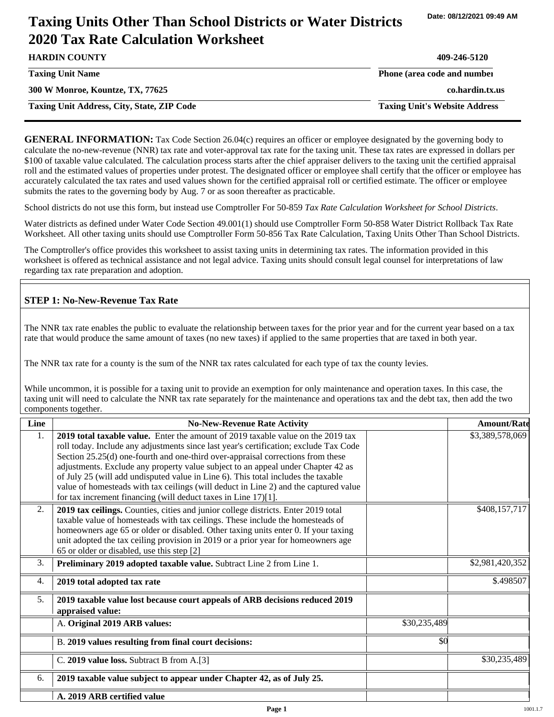# **Taxing Units Other Than School Districts or Water Districts 2020 Tax Rate Calculation Worksheet**

| <b>HARDIN COUNTY</b>                              | 409-246-5120                         |
|---------------------------------------------------|--------------------------------------|
| <b>Taxing Unit Name</b>                           | Phone (area code and number          |
| 300 W Monroe, Kountze, TX, 77625                  | co.hardin.tx.us                      |
| <b>Taxing Unit Address, City, State, ZIP Code</b> | <b>Taxing Unit's Website Address</b> |

**GENERAL INFORMATION:** Tax Code Section 26.04(c) requires an officer or employee designated by the governing body to calculate the no-new-revenue (NNR) tax rate and voter-approval tax rate for the taxing unit. These tax rates are expressed in dollars per \$100 of taxable value calculated. The calculation process starts after the chief appraiser delivers to the taxing unit the certified appraisal roll and the estimated values of properties under protest. The designated officer or employee shall certify that the officer or employee has accurately calculated the tax rates and used values shown for the certified appraisal roll or certified estimate. The officer or employee submits the rates to the governing body by Aug. 7 or as soon thereafter as practicable.

School districts do not use this form, but instead use Comptroller For 50-859 *Tax Rate Calculation Worksheet for School Districts*.

Water districts as defined under Water Code Section 49.001(1) should use Comptroller Form 50-858 Water District Rollback Tax Rate Worksheet. All other taxing units should use Comptroller Form 50-856 Tax Rate Calculation, Taxing Units Other Than School Districts.

The Comptroller's office provides this worksheet to assist taxing units in determining tax rates. The information provided in this worksheet is offered as technical assistance and not legal advice. Taxing units should consult legal counsel for interpretations of law regarding tax rate preparation and adoption.

### **STEP 1: No-New-Revenue Tax Rate**

The NNR tax rate enables the public to evaluate the relationship between taxes for the prior year and for the current year based on a tax rate that would produce the same amount of taxes (no new taxes) if applied to the same properties that are taxed in both year.

The NNR tax rate for a county is the sum of the NNR tax rates calculated for each type of tax the county levies.

While uncommon, it is possible for a taxing unit to provide an exemption for only maintenance and operation taxes. In this case, the taxing unit will need to calculate the NNR tax rate separately for the maintenance and operations tax and the debt tax, then add the two components together.

| Line             | <b>No-New-Revenue Rate Activity</b>                                                                                                                                                                                                                                                                                                                                                                                                                                                                                                                                                             |              | <b>Amount/Rate</b> |
|------------------|-------------------------------------------------------------------------------------------------------------------------------------------------------------------------------------------------------------------------------------------------------------------------------------------------------------------------------------------------------------------------------------------------------------------------------------------------------------------------------------------------------------------------------------------------------------------------------------------------|--------------|--------------------|
| 1.               | 2019 total taxable value. Enter the amount of 2019 taxable value on the 2019 tax<br>roll today. Include any adjustments since last year's certification; exclude Tax Code<br>Section 25.25(d) one-fourth and one-third over-appraisal corrections from these<br>adjustments. Exclude any property value subject to an appeal under Chapter 42 as<br>of July 25 (will add undisputed value in Line 6). This total includes the taxable<br>value of homesteads with tax ceilings (will deduct in Line 2) and the captured value<br>for tax increment financing (will deduct taxes in Line 17)[1]. |              | \$3,389,578,069    |
| 2.               | 2019 tax ceilings. Counties, cities and junior college districts. Enter 2019 total<br>taxable value of homesteads with tax ceilings. These include the homesteads of<br>homeowners age 65 or older or disabled. Other taxing units enter 0. If your taxing<br>unit adopted the tax ceiling provision in 2019 or a prior year for homeowners age<br>65 or older or disabled, use this step [2]                                                                                                                                                                                                   |              | \$408,157,717      |
| 3.               | Preliminary 2019 adopted taxable value. Subtract Line 2 from Line 1.                                                                                                                                                                                                                                                                                                                                                                                                                                                                                                                            |              | \$2,981,420,352    |
| $\overline{4}$ . | 2019 total adopted tax rate                                                                                                                                                                                                                                                                                                                                                                                                                                                                                                                                                                     |              | \$.498507          |
| 5.               | 2019 taxable value lost because court appeals of ARB decisions reduced 2019<br>appraised value:                                                                                                                                                                                                                                                                                                                                                                                                                                                                                                 |              |                    |
|                  | A. Original 2019 ARB values:                                                                                                                                                                                                                                                                                                                                                                                                                                                                                                                                                                    | \$30,235,489 |                    |
|                  | B. 2019 values resulting from final court decisions:                                                                                                                                                                                                                                                                                                                                                                                                                                                                                                                                            | \$0          |                    |
|                  | C. 2019 value loss. Subtract B from A.[3]                                                                                                                                                                                                                                                                                                                                                                                                                                                                                                                                                       |              | \$30,235,489       |
| 6.               | 2019 taxable value subject to appear under Chapter 42, as of July 25.                                                                                                                                                                                                                                                                                                                                                                                                                                                                                                                           |              |                    |
|                  | A. 2019 ARB certified value                                                                                                                                                                                                                                                                                                                                                                                                                                                                                                                                                                     |              |                    |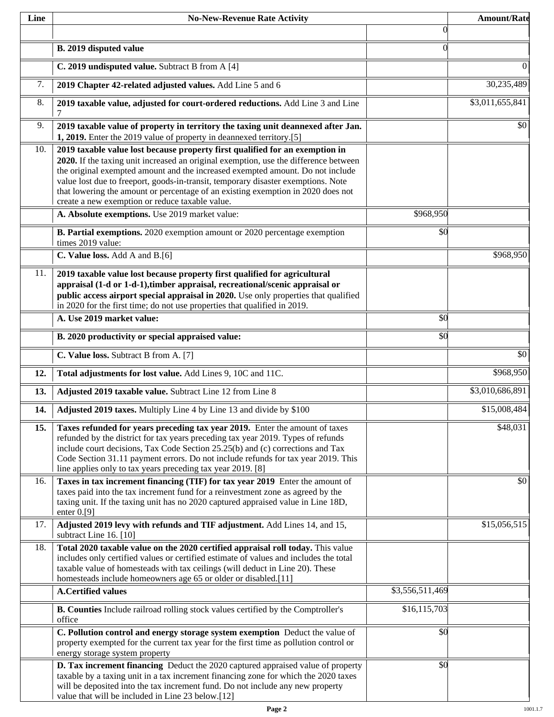| Line | <b>No-New-Revenue Rate Activity</b>                                                                                                                                                                                                                                                                                                                                                                                                                                                |                 | <b>Amount/Rate</b> |
|------|------------------------------------------------------------------------------------------------------------------------------------------------------------------------------------------------------------------------------------------------------------------------------------------------------------------------------------------------------------------------------------------------------------------------------------------------------------------------------------|-----------------|--------------------|
|      |                                                                                                                                                                                                                                                                                                                                                                                                                                                                                    | $\theta$        |                    |
|      | B. 2019 disputed value                                                                                                                                                                                                                                                                                                                                                                                                                                                             | $\Omega$        |                    |
|      | C. 2019 undisputed value. Subtract B from A [4]                                                                                                                                                                                                                                                                                                                                                                                                                                    |                 | $\theta$           |
| 7.   | 2019 Chapter 42-related adjusted values. Add Line 5 and 6                                                                                                                                                                                                                                                                                                                                                                                                                          |                 | 30,235,489         |
| 8.   | 2019 taxable value, adjusted for court-ordered reductions. Add Line 3 and Line<br>7                                                                                                                                                                                                                                                                                                                                                                                                |                 | \$3,011,655,841    |
| 9.   | 2019 taxable value of property in territory the taxing unit deannexed after Jan.<br>1, 2019. Enter the 2019 value of property in deannexed territory.[5]                                                                                                                                                                                                                                                                                                                           |                 | \$0                |
| 10.  | 2019 taxable value lost because property first qualified for an exemption in<br>2020. If the taxing unit increased an original exemption, use the difference between<br>the original exempted amount and the increased exempted amount. Do not include<br>value lost due to freeport, goods-in-transit, temporary disaster exemptions. Note<br>that lowering the amount or percentage of an existing exemption in 2020 does not<br>create a new exemption or reduce taxable value. |                 |                    |
|      | A. Absolute exemptions. Use 2019 market value:                                                                                                                                                                                                                                                                                                                                                                                                                                     | \$968,950       |                    |
|      | B. Partial exemptions. 2020 exemption amount or 2020 percentage exemption<br>times 2019 value:                                                                                                                                                                                                                                                                                                                                                                                     | \$0             |                    |
|      | C. Value loss. Add A and B.[6]                                                                                                                                                                                                                                                                                                                                                                                                                                                     |                 | \$968,950          |
| 11.  | 2019 taxable value lost because property first qualified for agricultural<br>appraisal (1-d or 1-d-1), timber appraisal, recreational/scenic appraisal or<br>public access airport special appraisal in 2020. Use only properties that qualified<br>in 2020 for the first time; do not use properties that qualified in 2019.                                                                                                                                                      |                 |                    |
|      | A. Use 2019 market value:                                                                                                                                                                                                                                                                                                                                                                                                                                                          | \$0             |                    |
|      | B. 2020 productivity or special appraised value:                                                                                                                                                                                                                                                                                                                                                                                                                                   | \$0             |                    |
|      | C. Value loss. Subtract B from A. [7]                                                                                                                                                                                                                                                                                                                                                                                                                                              |                 | \$0                |
| 12.  | Total adjustments for lost value. Add Lines 9, 10C and 11C.                                                                                                                                                                                                                                                                                                                                                                                                                        |                 | \$968,950          |
| 13.  | Adjusted 2019 taxable value. Subtract Line 12 from Line 8                                                                                                                                                                                                                                                                                                                                                                                                                          |                 | \$3,010,686,891    |
| 14.  | Adjusted 2019 taxes. Multiply Line 4 by Line 13 and divide by \$100                                                                                                                                                                                                                                                                                                                                                                                                                |                 | \$15,008,484       |
| 15.  | Taxes refunded for years preceding tax year 2019. Enter the amount of taxes<br>refunded by the district for tax years preceding tax year 2019. Types of refunds<br>include court decisions, Tax Code Section 25.25(b) and (c) corrections and Tax<br>Code Section 31.11 payment errors. Do not include refunds for tax year 2019. This<br>line applies only to tax years preceding tax year 2019. [8]                                                                              |                 | \$48,031           |
| 16.  | Taxes in tax increment financing (TIF) for tax year 2019 Enter the amount of<br>taxes paid into the tax increment fund for a reinvestment zone as agreed by the<br>taxing unit. If the taxing unit has no 2020 captured appraised value in Line 18D,<br>enter $0.9$ ]                                                                                                                                                                                                              |                 | \$0                |
| 17.  | Adjusted 2019 levy with refunds and TIF adjustment. Add Lines 14, and 15,<br>subtract Line 16. [10]                                                                                                                                                                                                                                                                                                                                                                                |                 | \$15,056,515       |
| 18.  | Total 2020 taxable value on the 2020 certified appraisal roll today. This value<br>includes only certified values or certified estimate of values and includes the total<br>taxable value of homesteads with tax ceilings (will deduct in Line 20). These<br>homesteads include homeowners age 65 or older or disabled.[11]                                                                                                                                                        |                 |                    |
|      | <b>A.Certified values</b>                                                                                                                                                                                                                                                                                                                                                                                                                                                          | \$3,556,511,469 |                    |
|      | B. Counties Include railroad rolling stock values certified by the Comptroller's<br>office                                                                                                                                                                                                                                                                                                                                                                                         | \$16, 115, 703  |                    |
|      | C. Pollution control and energy storage system exemption Deduct the value of<br>property exempted for the current tax year for the first time as pollution control or<br>energy storage system property                                                                                                                                                                                                                                                                            | \$0             |                    |
|      | D. Tax increment financing Deduct the 2020 captured appraised value of property<br>taxable by a taxing unit in a tax increment financing zone for which the 2020 taxes<br>will be deposited into the tax increment fund. Do not include any new property<br>value that will be included in Line 23 below.[12]                                                                                                                                                                      | \$0             |                    |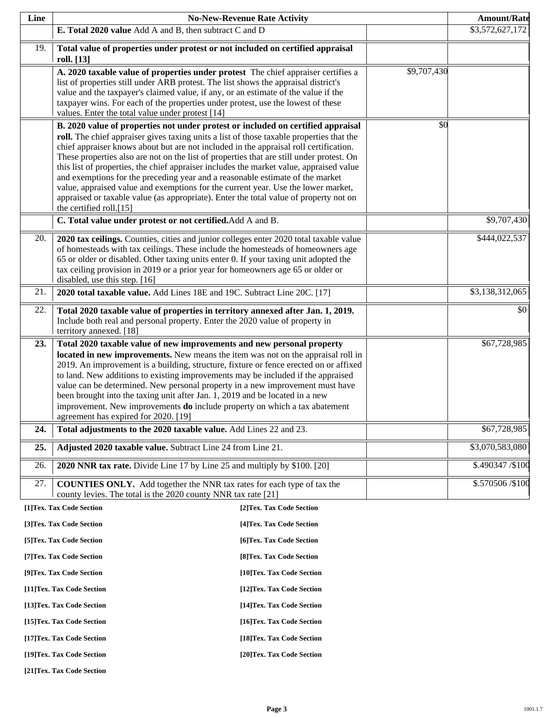| Line | <b>No-New-Revenue Rate Activity</b>                                                                                                                                                                                                                                                                                                                                                                                                                                                                                                                                                                                                                                                                                                                    |                            |             | <b>Amount/Rate</b> |
|------|--------------------------------------------------------------------------------------------------------------------------------------------------------------------------------------------------------------------------------------------------------------------------------------------------------------------------------------------------------------------------------------------------------------------------------------------------------------------------------------------------------------------------------------------------------------------------------------------------------------------------------------------------------------------------------------------------------------------------------------------------------|----------------------------|-------------|--------------------|
|      | E. Total 2020 value Add A and B, then subtract C and D                                                                                                                                                                                                                                                                                                                                                                                                                                                                                                                                                                                                                                                                                                 |                            |             | \$3,572,627,172    |
| 19.  | Total value of properties under protest or not included on certified appraisal<br>roll. [13]                                                                                                                                                                                                                                                                                                                                                                                                                                                                                                                                                                                                                                                           |                            |             |                    |
|      | A. 2020 taxable value of properties under protest The chief appraiser certifies a<br>list of properties still under ARB protest. The list shows the appraisal district's<br>value and the taxpayer's claimed value, if any, or an estimate of the value if the<br>taxpayer wins. For each of the properties under protest, use the lowest of these<br>values. Enter the total value under protest [14]                                                                                                                                                                                                                                                                                                                                                 |                            | \$9,707,430 |                    |
|      | B. 2020 value of properties not under protest or included on certified appraisal<br>roll. The chief appraiser gives taxing units a list of those taxable properties that the<br>chief appraiser knows about but are not included in the appraisal roll certification.<br>These properties also are not on the list of properties that are still under protest. On<br>this list of properties, the chief appraiser includes the market value, appraised value<br>and exemptions for the preceding year and a reasonable estimate of the market<br>value, appraised value and exemptions for the current year. Use the lower market,<br>appraised or taxable value (as appropriate). Enter the total value of property not on<br>the certified roll.[15] |                            | \$0         |                    |
|      | C. Total value under protest or not certified. Add A and B.                                                                                                                                                                                                                                                                                                                                                                                                                                                                                                                                                                                                                                                                                            |                            |             | \$9,707,430        |
| 20.  | 2020 tax ceilings. Counties, cities and junior colleges enter 2020 total taxable value<br>of homesteads with tax ceilings. These include the homesteads of homeowners age<br>65 or older or disabled. Other taxing units enter 0. If your taxing unit adopted the<br>tax ceiling provision in 2019 or a prior year for homeowners age 65 or older or<br>disabled, use this step. [16]                                                                                                                                                                                                                                                                                                                                                                  |                            |             | \$444,022,537      |
| 21.  | 2020 total taxable value. Add Lines 18E and 19C. Subtract Line 20C. [17]                                                                                                                                                                                                                                                                                                                                                                                                                                                                                                                                                                                                                                                                               |                            |             | \$3,138,312,065    |
| 22.  | Total 2020 taxable value of properties in territory annexed after Jan. 1, 2019.<br>Include both real and personal property. Enter the 2020 value of property in<br>territory annexed. [18]                                                                                                                                                                                                                                                                                                                                                                                                                                                                                                                                                             |                            |             | \$0                |
| 23.  | Total 2020 taxable value of new improvements and new personal property<br>located in new improvements. New means the item was not on the appraisal roll in<br>2019. An improvement is a building, structure, fixture or fence erected on or affixed<br>to land. New additions to existing improvements may be included if the appraised<br>value can be determined. New personal property in a new improvement must have<br>been brought into the taxing unit after Jan. 1, 2019 and be located in a new<br>improvement. New improvements do include property on which a tax abatement<br>agreement has expired for 2020. [19]                                                                                                                         |                            |             | \$67,728,985       |
| 24.  | Total adjustments to the 2020 taxable value. Add Lines 22 and 23.                                                                                                                                                                                                                                                                                                                                                                                                                                                                                                                                                                                                                                                                                      |                            |             | \$67,728,985       |
| 25.  | Adjusted 2020 taxable value. Subtract Line 24 from Line 21.                                                                                                                                                                                                                                                                                                                                                                                                                                                                                                                                                                                                                                                                                            |                            |             | \$3,070,583,080    |
| 26.  | 2020 NNR tax rate. Divide Line 17 by Line 25 and multiply by \$100. [20]                                                                                                                                                                                                                                                                                                                                                                                                                                                                                                                                                                                                                                                                               |                            |             | \$.490347 / \$100  |
| 27.  | <b>COUNTIES ONLY.</b> Add together the NNR tax rates for each type of tax the<br>county levies. The total is the 2020 county NNR tax rate [21]                                                                                                                                                                                                                                                                                                                                                                                                                                                                                                                                                                                                         |                            |             | \$.570506/\$100    |
|      | [1]Tex. Tax Code Section                                                                                                                                                                                                                                                                                                                                                                                                                                                                                                                                                                                                                                                                                                                               | [2]Tex. Tax Code Section   |             |                    |
|      | [3]Tex. Tax Code Section                                                                                                                                                                                                                                                                                                                                                                                                                                                                                                                                                                                                                                                                                                                               | [4] Tex. Tax Code Section  |             |                    |
|      | [5] Tex. Tax Code Section                                                                                                                                                                                                                                                                                                                                                                                                                                                                                                                                                                                                                                                                                                                              | [6]Tex. Tax Code Section   |             |                    |
|      | [7] Tex. Tax Code Section                                                                                                                                                                                                                                                                                                                                                                                                                                                                                                                                                                                                                                                                                                                              | [8]Tex. Tax Code Section   |             |                    |
|      | [9]Tex. Tax Code Section                                                                                                                                                                                                                                                                                                                                                                                                                                                                                                                                                                                                                                                                                                                               | [10]Tex. Tax Code Section  |             |                    |
|      | [11]Tex. Tax Code Section                                                                                                                                                                                                                                                                                                                                                                                                                                                                                                                                                                                                                                                                                                                              | [12] Tex. Tax Code Section |             |                    |
|      | [13] Tex. Tax Code Section                                                                                                                                                                                                                                                                                                                                                                                                                                                                                                                                                                                                                                                                                                                             | [14] Tex. Tax Code Section |             |                    |

**[15]Tex. Tax Code Section [16]Tex. Tax Code Section** 

**[17]Tex. Tax Code Section [18]Tex. Tax Code Section** 

**[19]Tex. Tax Code Section [20]Tex. Tax Code Section** 

**[21]Tex. Tax Code Section**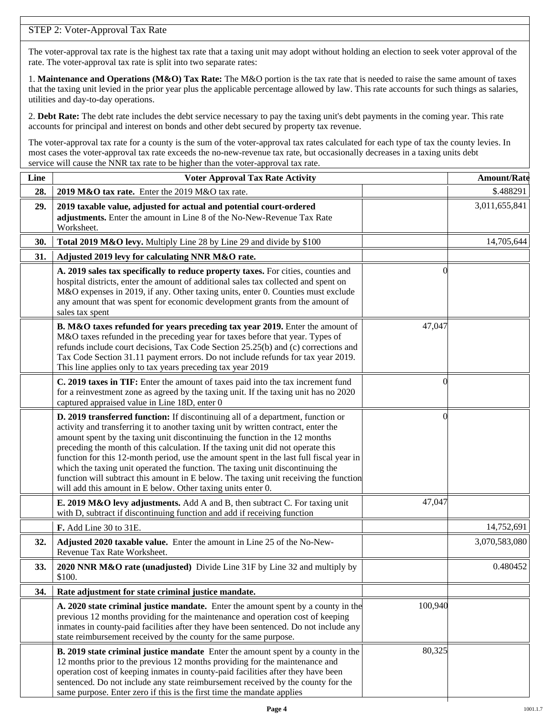# STEP 2: Voter-Approval Tax Rate

The voter-approval tax rate is the highest tax rate that a taxing unit may adopt without holding an election to seek voter approval of the rate. The voter-approval tax rate is split into two separate rates:

1. **Maintenance and Operations (M&O) Tax Rate:** The M&O portion is the tax rate that is needed to raise the same amount of taxes that the taxing unit levied in the prior year plus the applicable percentage allowed by law. This rate accounts for such things as salaries, utilities and day-to-day operations.

2. **Debt Rate:** The debt rate includes the debt service necessary to pay the taxing unit's debt payments in the coming year. This rate accounts for principal and interest on bonds and other debt secured by property tax revenue.

The voter-approval tax rate for a county is the sum of the voter-approval tax rates calculated for each type of tax the county levies. In most cases the voter-approval tax rate exceeds the no-new-revenue tax rate, but occasionally decreases in a taxing units debt service will cause the NNR tax rate to be higher than the voter-approval tax rate.

| Line | <b>Voter Approval Tax Rate Activity</b>                                                                                                                                                                                                                                                                                                                                                                                                                                                                                                                                                                                                                                        |          | <b>Amount/Rate</b> |
|------|--------------------------------------------------------------------------------------------------------------------------------------------------------------------------------------------------------------------------------------------------------------------------------------------------------------------------------------------------------------------------------------------------------------------------------------------------------------------------------------------------------------------------------------------------------------------------------------------------------------------------------------------------------------------------------|----------|--------------------|
| 28.  | 2019 M&O tax rate. Enter the 2019 M&O tax rate.                                                                                                                                                                                                                                                                                                                                                                                                                                                                                                                                                                                                                                |          | \$.488291          |
| 29.  | 2019 taxable value, adjusted for actual and potential court-ordered<br>adjustments. Enter the amount in Line 8 of the No-New-Revenue Tax Rate<br>Worksheet.                                                                                                                                                                                                                                                                                                                                                                                                                                                                                                                    |          | 3,011,655,841      |
| 30.  | Total 2019 M&O levy. Multiply Line 28 by Line 29 and divide by \$100                                                                                                                                                                                                                                                                                                                                                                                                                                                                                                                                                                                                           |          | 14,705,644         |
| 31.  | Adjusted 2019 levy for calculating NNR M&O rate.                                                                                                                                                                                                                                                                                                                                                                                                                                                                                                                                                                                                                               |          |                    |
|      | A. 2019 sales tax specifically to reduce property taxes. For cities, counties and<br>hospital districts, enter the amount of additional sales tax collected and spent on<br>M&O expenses in 2019, if any. Other taxing units, enter 0. Counties must exclude<br>any amount that was spent for economic development grants from the amount of<br>sales tax spent                                                                                                                                                                                                                                                                                                                |          |                    |
|      | B. M&O taxes refunded for years preceding tax year 2019. Enter the amount of<br>M&O taxes refunded in the preceding year for taxes before that year. Types of<br>refunds include court decisions, Tax Code Section 25.25(b) and (c) corrections and<br>Tax Code Section 31.11 payment errors. Do not include refunds for tax year 2019.<br>This line applies only to tax years preceding tax year 2019                                                                                                                                                                                                                                                                         | 47,047   |                    |
|      | C. 2019 taxes in TIF: Enter the amount of taxes paid into the tax increment fund<br>for a reinvestment zone as agreed by the taxing unit. If the taxing unit has no 2020<br>captured appraised value in Line 18D, enter 0                                                                                                                                                                                                                                                                                                                                                                                                                                                      | 0        |                    |
|      | D. 2019 transferred function: If discontinuing all of a department, function or<br>activity and transferring it to another taxing unit by written contract, enter the<br>amount spent by the taxing unit discontinuing the function in the 12 months<br>preceding the month of this calculation. If the taxing unit did not operate this<br>function for this 12-month period, use the amount spent in the last full fiscal year in<br>which the taxing unit operated the function. The taxing unit discontinuing the<br>function will subtract this amount in E below. The taxing unit receiving the function<br>will add this amount in E below. Other taxing units enter 0. | $\Omega$ |                    |
|      | E. 2019 M&O levy adjustments. Add A and B, then subtract C. For taxing unit<br>with D, subtract if discontinuing function and add if receiving function                                                                                                                                                                                                                                                                                                                                                                                                                                                                                                                        | 47,047   |                    |
|      | F. Add Line 30 to 31E.                                                                                                                                                                                                                                                                                                                                                                                                                                                                                                                                                                                                                                                         |          | 14,752,691         |
| 32.  | Adjusted 2020 taxable value. Enter the amount in Line 25 of the No-New-<br>Revenue Tax Rate Worksheet.                                                                                                                                                                                                                                                                                                                                                                                                                                                                                                                                                                         |          | 3,070,583,080      |
| 33.  | 2020 NNR M&O rate (unadjusted) Divide Line 31F by Line 32 and multiply by<br>\$100.                                                                                                                                                                                                                                                                                                                                                                                                                                                                                                                                                                                            |          | 0.480452           |
| 34.  | Rate adjustment for state criminal justice mandate.                                                                                                                                                                                                                                                                                                                                                                                                                                                                                                                                                                                                                            |          |                    |
|      | A. 2020 state criminal justice mandate. Enter the amount spent by a county in the<br>previous 12 months providing for the maintenance and operation cost of keeping<br>inmates in county-paid facilities after they have been sentenced. Do not include any<br>state reimbursement received by the county for the same purpose.                                                                                                                                                                                                                                                                                                                                                | 100,940  |                    |
|      | <b>B. 2019 state criminal justice mandate</b> Enter the amount spent by a county in the<br>12 months prior to the previous 12 months providing for the maintenance and<br>operation cost of keeping inmates in county-paid facilities after they have been<br>sentenced. Do not include any state reimbursement received by the county for the<br>same purpose. Enter zero if this is the first time the mandate applies                                                                                                                                                                                                                                                       | 80,325   |                    |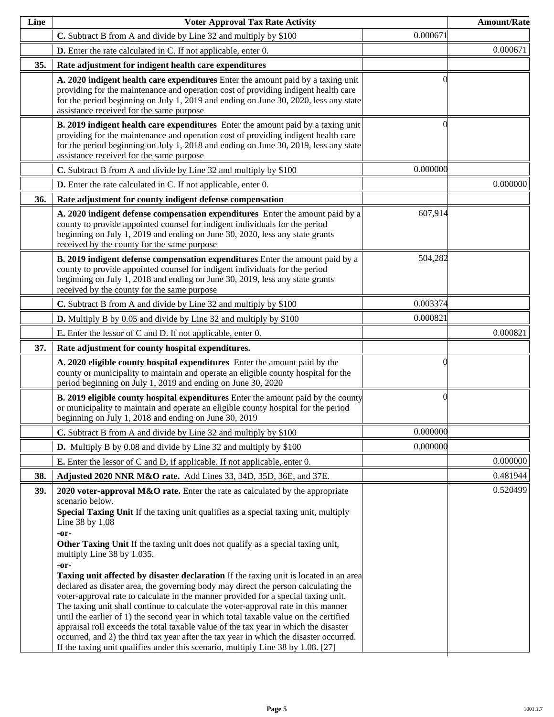| Line | <b>Voter Approval Tax Rate Activity</b>                                                                                                                                                                                                                                                                                                                                                                                                                                                                                                                                                                                                                                                                                                                                                                                                                                                                                                                                                                                                                               |          | <b>Amount/Rate</b> |
|------|-----------------------------------------------------------------------------------------------------------------------------------------------------------------------------------------------------------------------------------------------------------------------------------------------------------------------------------------------------------------------------------------------------------------------------------------------------------------------------------------------------------------------------------------------------------------------------------------------------------------------------------------------------------------------------------------------------------------------------------------------------------------------------------------------------------------------------------------------------------------------------------------------------------------------------------------------------------------------------------------------------------------------------------------------------------------------|----------|--------------------|
|      | C. Subtract B from A and divide by Line 32 and multiply by \$100                                                                                                                                                                                                                                                                                                                                                                                                                                                                                                                                                                                                                                                                                                                                                                                                                                                                                                                                                                                                      | 0.000671 |                    |
|      | <b>D.</b> Enter the rate calculated in C. If not applicable, enter 0.                                                                                                                                                                                                                                                                                                                                                                                                                                                                                                                                                                                                                                                                                                                                                                                                                                                                                                                                                                                                 |          | 0.000671           |
| 35.  | Rate adjustment for indigent health care expenditures                                                                                                                                                                                                                                                                                                                                                                                                                                                                                                                                                                                                                                                                                                                                                                                                                                                                                                                                                                                                                 |          |                    |
|      | A. 2020 indigent health care expenditures Enter the amount paid by a taxing unit<br>providing for the maintenance and operation cost of providing indigent health care<br>for the period beginning on July 1, 2019 and ending on June 30, 2020, less any state<br>assistance received for the same purpose                                                                                                                                                                                                                                                                                                                                                                                                                                                                                                                                                                                                                                                                                                                                                            |          |                    |
|      | B. 2019 indigent health care expenditures Enter the amount paid by a taxing unit<br>providing for the maintenance and operation cost of providing indigent health care<br>for the period beginning on July 1, 2018 and ending on June 30, 2019, less any state<br>assistance received for the same purpose                                                                                                                                                                                                                                                                                                                                                                                                                                                                                                                                                                                                                                                                                                                                                            |          |                    |
|      | C. Subtract B from A and divide by Line 32 and multiply by \$100                                                                                                                                                                                                                                                                                                                                                                                                                                                                                                                                                                                                                                                                                                                                                                                                                                                                                                                                                                                                      | 0.000000 |                    |
|      | <b>D.</b> Enter the rate calculated in C. If not applicable, enter 0.                                                                                                                                                                                                                                                                                                                                                                                                                                                                                                                                                                                                                                                                                                                                                                                                                                                                                                                                                                                                 |          | 0.000000           |
| 36.  | Rate adjustment for county indigent defense compensation                                                                                                                                                                                                                                                                                                                                                                                                                                                                                                                                                                                                                                                                                                                                                                                                                                                                                                                                                                                                              |          |                    |
|      | A. 2020 indigent defense compensation expenditures Enter the amount paid by a<br>county to provide appointed counsel for indigent individuals for the period<br>beginning on July 1, 2019 and ending on June 30, 2020, less any state grants<br>received by the county for the same purpose                                                                                                                                                                                                                                                                                                                                                                                                                                                                                                                                                                                                                                                                                                                                                                           | 607,914  |                    |
|      | B. 2019 indigent defense compensation expenditures Enter the amount paid by a<br>county to provide appointed counsel for indigent individuals for the period<br>beginning on July 1, 2018 and ending on June 30, 2019, less any state grants<br>received by the county for the same purpose                                                                                                                                                                                                                                                                                                                                                                                                                                                                                                                                                                                                                                                                                                                                                                           | 504,282  |                    |
|      | C. Subtract B from A and divide by Line 32 and multiply by \$100                                                                                                                                                                                                                                                                                                                                                                                                                                                                                                                                                                                                                                                                                                                                                                                                                                                                                                                                                                                                      | 0.003374 |                    |
|      | <b>D.</b> Multiply B by 0.05 and divide by Line 32 and multiply by \$100                                                                                                                                                                                                                                                                                                                                                                                                                                                                                                                                                                                                                                                                                                                                                                                                                                                                                                                                                                                              | 0.000821 |                    |
|      | <b>E.</b> Enter the lessor of C and D. If not applicable, enter 0.                                                                                                                                                                                                                                                                                                                                                                                                                                                                                                                                                                                                                                                                                                                                                                                                                                                                                                                                                                                                    |          | 0.000821           |
| 37.  | Rate adjustment for county hospital expenditures.                                                                                                                                                                                                                                                                                                                                                                                                                                                                                                                                                                                                                                                                                                                                                                                                                                                                                                                                                                                                                     |          |                    |
|      | A. 2020 eligible county hospital expenditures Enter the amount paid by the<br>county or municipality to maintain and operate an eligible county hospital for the<br>period beginning on July 1, 2019 and ending on June 30, 2020                                                                                                                                                                                                                                                                                                                                                                                                                                                                                                                                                                                                                                                                                                                                                                                                                                      |          |                    |
|      | <b>B. 2019 eligible county hospital expenditures</b> Enter the amount paid by the county<br>or municipality to maintain and operate an eligible county hospital for the period<br>beginning on July 1, 2018 and ending on June 30, 2019                                                                                                                                                                                                                                                                                                                                                                                                                                                                                                                                                                                                                                                                                                                                                                                                                               | 0        |                    |
|      | C. Subtract B from A and divide by Line 32 and multiply by \$100                                                                                                                                                                                                                                                                                                                                                                                                                                                                                                                                                                                                                                                                                                                                                                                                                                                                                                                                                                                                      | 0.000000 |                    |
|      | <b>D.</b> Multiply B by 0.08 and divide by Line 32 and multiply by \$100                                                                                                                                                                                                                                                                                                                                                                                                                                                                                                                                                                                                                                                                                                                                                                                                                                                                                                                                                                                              | 0.000000 |                    |
|      | <b>E.</b> Enter the lessor of C and D, if applicable. If not applicable, enter 0.                                                                                                                                                                                                                                                                                                                                                                                                                                                                                                                                                                                                                                                                                                                                                                                                                                                                                                                                                                                     |          | 0.000000           |
| 38.  | Adjusted 2020 NNR M&O rate. Add Lines 33, 34D, 35D, 36E, and 37E.                                                                                                                                                                                                                                                                                                                                                                                                                                                                                                                                                                                                                                                                                                                                                                                                                                                                                                                                                                                                     |          | 0.481944           |
| 39.  | 2020 voter-approval M&O rate. Enter the rate as calculated by the appropriate<br>scenario below.<br>Special Taxing Unit If the taxing unit qualifies as a special taxing unit, multiply<br>Line 38 by 1.08<br>-or-<br>Other Taxing Unit If the taxing unit does not qualify as a special taxing unit,<br>multiply Line 38 by 1.035.<br>-or-<br>Taxing unit affected by disaster declaration If the taxing unit is located in an area<br>declared as disater area, the governing body may direct the person calculating the<br>voter-approval rate to calculate in the manner provided for a special taxing unit.<br>The taxing unit shall continue to calculate the voter-approval rate in this manner<br>until the earlier of 1) the second year in which total taxable value on the certified<br>appraisal roll exceeds the total taxable value of the tax year in which the disaster<br>occurred, and 2) the third tax year after the tax year in which the disaster occurred.<br>If the taxing unit qualifies under this scenario, multiply Line 38 by 1.08. [27] |          | 0.520499           |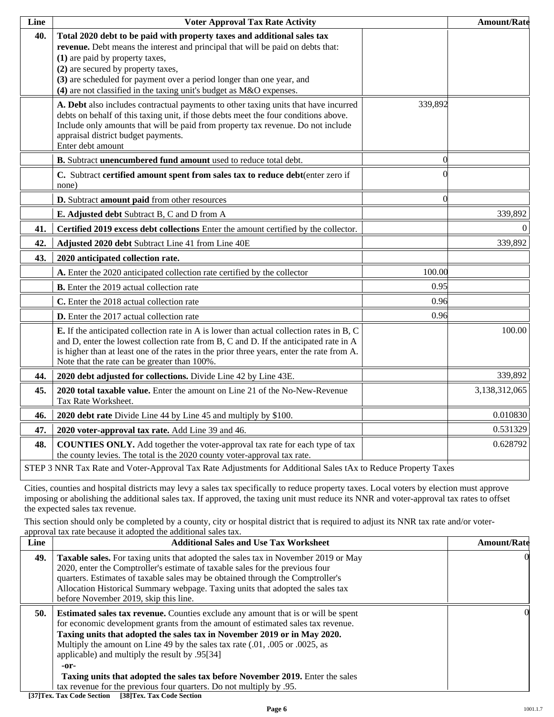| Line | <b>Voter Approval Tax Rate Activity</b>                                                                                                                                                                                                                                                                                                                                             |          | <b>Amount/Rate</b> |
|------|-------------------------------------------------------------------------------------------------------------------------------------------------------------------------------------------------------------------------------------------------------------------------------------------------------------------------------------------------------------------------------------|----------|--------------------|
| 40.  | Total 2020 debt to be paid with property taxes and additional sales tax<br>revenue. Debt means the interest and principal that will be paid on debts that:<br>(1) are paid by property taxes,<br>(2) are secured by property taxes,<br>(3) are scheduled for payment over a period longer than one year, and<br>(4) are not classified in the taxing unit's budget as M&O expenses. |          |                    |
|      | A. Debt also includes contractual payments to other taxing units that have incurred<br>debts on behalf of this taxing unit, if those debts meet the four conditions above.<br>Include only amounts that will be paid from property tax revenue. Do not include<br>appraisal district budget payments.<br>Enter debt amount                                                          | 339,892  |                    |
|      | B. Subtract unencumbered fund amount used to reduce total debt.                                                                                                                                                                                                                                                                                                                     | $\Omega$ |                    |
|      | C. Subtract certified amount spent from sales tax to reduce debt(enter zero if<br>none)                                                                                                                                                                                                                                                                                             |          |                    |
|      | D. Subtract amount paid from other resources                                                                                                                                                                                                                                                                                                                                        | 0        |                    |
|      | E. Adjusted debt Subtract B, C and D from A                                                                                                                                                                                                                                                                                                                                         |          | 339,892            |
| 41.  | Certified 2019 excess debt collections Enter the amount certified by the collector.                                                                                                                                                                                                                                                                                                 |          | $\overline{0}$     |
| 42.  | Adjusted 2020 debt Subtract Line 41 from Line 40E                                                                                                                                                                                                                                                                                                                                   |          | 339,892            |
| 43.  | 2020 anticipated collection rate.                                                                                                                                                                                                                                                                                                                                                   |          |                    |
|      | A. Enter the 2020 anticipated collection rate certified by the collector                                                                                                                                                                                                                                                                                                            | 100.00   |                    |
|      | <b>B.</b> Enter the 2019 actual collection rate                                                                                                                                                                                                                                                                                                                                     | 0.95     |                    |
|      | C. Enter the 2018 actual collection rate                                                                                                                                                                                                                                                                                                                                            | 0.96     |                    |
|      | D. Enter the 2017 actual collection rate                                                                                                                                                                                                                                                                                                                                            | 0.96     |                    |
|      | <b>E.</b> If the anticipated collection rate in A is lower than actual collection rates in B, C<br>and D, enter the lowest collection rate from B, C and D. If the anticipated rate in A<br>is higher than at least one of the rates in the prior three years, enter the rate from A.<br>Note that the rate can be greater than 100%.                                               |          | 100.00             |
| 44.  | 2020 debt adjusted for collections. Divide Line 42 by Line 43E.                                                                                                                                                                                                                                                                                                                     |          | 339,892            |
| 45.  | <b>2020 total taxable value.</b> Enter the amount on Line 21 of the No-New-Revenue<br>Tax Rate Worksheet.                                                                                                                                                                                                                                                                           |          | 3,138,312,065      |
| 46.  | 2020 debt rate Divide Line 44 by Line 45 and multiply by \$100.                                                                                                                                                                                                                                                                                                                     |          | 0.010830           |
| 47.  | 2020 voter-approval tax rate. Add Line 39 and 46.                                                                                                                                                                                                                                                                                                                                   |          | 0.531329           |
| 48.  | <b>COUNTIES ONLY.</b> Add together the voter-approval tax rate for each type of tax<br>the county levies. The total is the 2020 county voter-approval tax rate.                                                                                                                                                                                                                     |          | 0.628792           |
|      | STEP 3 NNR Tax Rate and Voter-Approval Tax Rate Adjustments for Additional Sales tAx to Reduce Property Taxes                                                                                                                                                                                                                                                                       |          |                    |

Cities, counties and hospital districts may levy a sales tax specifically to reduce property taxes. Local voters by election must approve imposing or abolishing the additional sales tax. If approved, the taxing unit must reduce its NNR and voter-approval tax rates to offset the expected sales tax revenue.

This section should only be completed by a county, city or hospital district that is required to adjust its NNR tax rate and/or voterapproval tax rate because it adopted the additional sales tax.

| Line | <b>Additional Sales and Use Tax Worksheet</b>                                                                                                                                                                                                                                                                                                                                                                                                                                                                                                             | <b>Amount/Rate</b> |
|------|-----------------------------------------------------------------------------------------------------------------------------------------------------------------------------------------------------------------------------------------------------------------------------------------------------------------------------------------------------------------------------------------------------------------------------------------------------------------------------------------------------------------------------------------------------------|--------------------|
| 49.  | <b>Taxable sales.</b> For taxing units that adopted the sales tax in November 2019 or May<br>2020, enter the Comptroller's estimate of taxable sales for the previous four<br>quarters. Estimates of taxable sales may be obtained through the Comptroller's<br>Allocation Historical Summary webpage. Taxing units that adopted the sales tax<br>before November 2019, skip this line.                                                                                                                                                                   |                    |
| 50.  | <b>Estimated sales tax revenue.</b> Counties exclude any amount that is or will be spent<br>for economic development grants from the amount of estimated sales tax revenue.<br>Taxing units that adopted the sales tax in November 2019 or in May 2020.<br>Multiply the amount on Line 49 by the sales tax rate (.01, .005 or .0025, as<br>applicable) and multiply the result by .95[34]<br>-or-<br>Taxing units that adopted the sales tax before November 2019. Enter the sales<br>tax revenue for the previous four quarters. Do not multiply by .95. | 0                  |

**[37]Tex. Tax Code Section [38]Tex. Tax Code Section**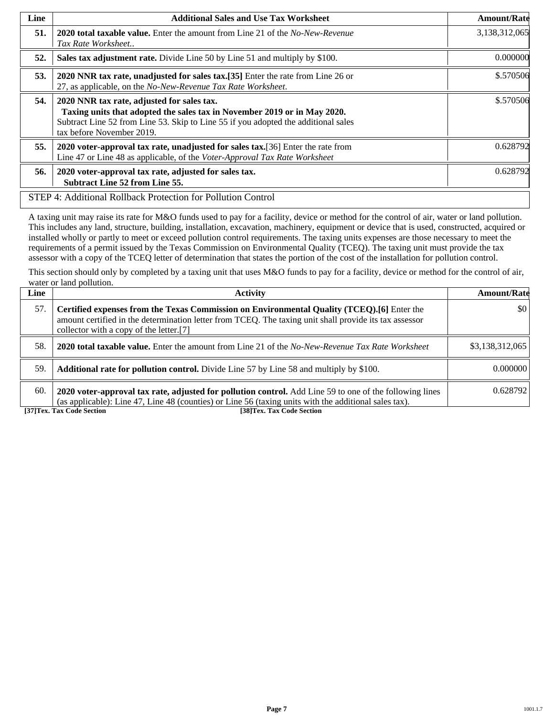| Line | <b>Additional Sales and Use Tax Worksheet</b>                                                                                                                                                                                             | <b>Amount/Rate</b> |
|------|-------------------------------------------------------------------------------------------------------------------------------------------------------------------------------------------------------------------------------------------|--------------------|
| 51.  | <b>2020 total taxable value.</b> Enter the amount from Line 21 of the <i>No-New-Revenue</i><br>Tax Rate Worksheet                                                                                                                         | 3,138,312,065      |
| 52.  | Sales tax adjustment rate. Divide Line 50 by Line 51 and multiply by \$100.                                                                                                                                                               | 0.000000           |
| 53.  | 2020 NNR tax rate, unadjusted for sales tax.[35] Enter the rate from Line 26 or<br>27, as applicable, on the No-New-Revenue Tax Rate Worksheet.                                                                                           | \$.570506          |
| 54.  | 2020 NNR tax rate, adjusted for sales tax.<br>Taxing units that adopted the sales tax in November 2019 or in May 2020.<br>Subtract Line 52 from Line 53. Skip to Line 55 if you adopted the additional sales<br>tax before November 2019. | \$.570506          |
| 55.  | 2020 voter-approval tax rate, unadjusted for sales tax. [36] Enter the rate from<br>Line 47 or Line 48 as applicable, of the Voter-Approval Tax Rate Worksheet                                                                            | 0.628792           |
| 56.  | 2020 voter-approval tax rate, adjusted for sales tax.<br><b>Subtract Line 52 from Line 55.</b>                                                                                                                                            | 0.628792           |
|      | STEP 4: Additional Rollback Protection for Pollution Control                                                                                                                                                                              |                    |

A taxing unit may raise its rate for M&O funds used to pay for a facility, device or method for the control of air, water or land pollution. This includes any land, structure, building, installation, excavation, machinery, equipment or device that is used, constructed, acquired or installed wholly or partly to meet or exceed pollution control requirements. The taxing units expenses are those necessary to meet the requirements of a permit issued by the Texas Commission on Environmental Quality (TCEQ). The taxing unit must provide the tax assessor with a copy of the TCEQ letter of determination that states the portion of the cost of the installation for pollution control.

This section should only by completed by a taxing unit that uses M&O funds to pay for a facility, device or method for the control of air, water or land pollution.

| Line | Activity                                                                                                                                                                                                                                        | <b>Amount/Rate</b> |
|------|-------------------------------------------------------------------------------------------------------------------------------------------------------------------------------------------------------------------------------------------------|--------------------|
| 57.  | Certified expenses from the Texas Commission on Environmental Quality (TCEQ).[6] Enter the<br>amount certified in the determination letter from TCEQ. The taxing unit shall provide its tax assessor<br>collector with a copy of the letter.[7] | \$0                |
| 58.  | <b>2020 total taxable value.</b> Enter the amount from Line 21 of the <i>No-New-Revenue Tax Rate Worksheet</i>                                                                                                                                  | \$3,138,312,065    |
| 59.  | <b>Additional rate for pollution control.</b> Divide Line 57 by Line 58 and multiply by \$100.                                                                                                                                                  | 0.000000           |
| 60.  | 2020 voter-approval tax rate, adjusted for pollution control. Add Line 59 to one of the following lines<br>(as applicable): Line 47, Line 48 (counties) or Line 56 (taxing units with the additional sales tax).                                | 0.628792           |
|      | [37] Tex. Tax Code Section<br>[38]Tex. Tax Code Section                                                                                                                                                                                         |                    |